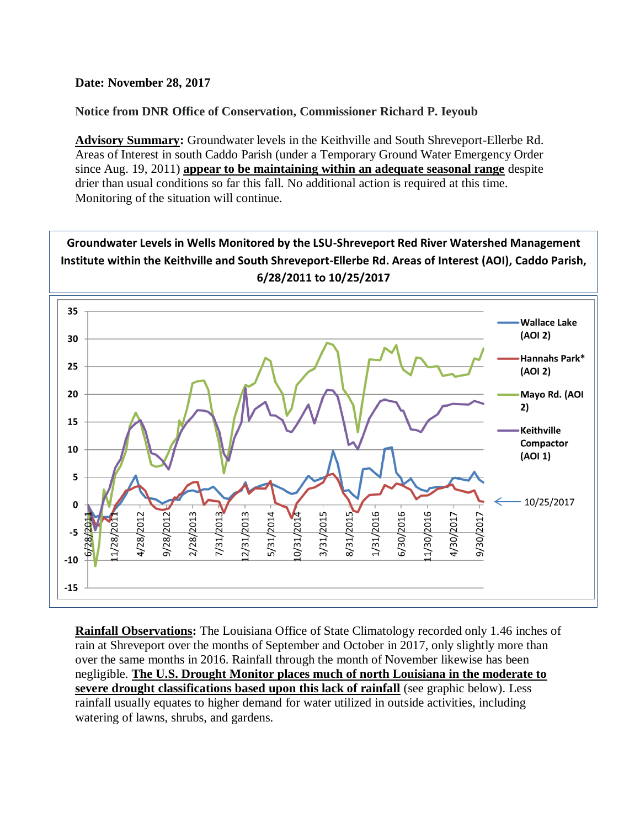**Date: November 28, 2017**

**Notice from DNR Office of Conservation, Commissioner Richard P. Ieyoub**

**Advisory Summary:** Groundwater levels in the Keithville and South Shreveport-Ellerbe Rd. Areas of Interest in south Caddo Parish (under a Temporary Ground Water Emergency Order since Aug. 19, 2011) **appear to be maintaining within an adequate seasonal range** despite drier than usual conditions so far this fall. No additional action is required at this time. Monitoring of the situation will continue.



**Rainfall Observations:** The Louisiana Office of State Climatology recorded only 1.46 inches of rain at Shreveport over the months of September and October in 2017, only slightly more than over the same months in 2016. Rainfall through the month of November likewise has been negligible. **The U.S. Drought Monitor places much of north Louisiana in the moderate to severe drought classifications based upon this lack of rainfall** (see graphic below). Less rainfall usually equates to higher demand for water utilized in outside activities, including watering of lawns, shrubs, and gardens.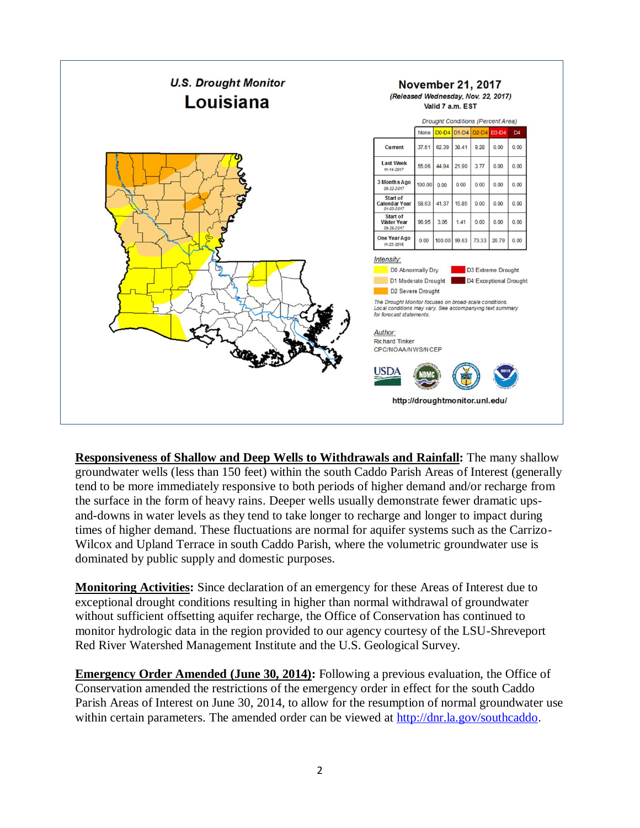

**Responsiveness of Shallow and Deep Wells to Withdrawals and Rainfall:** The many shallow groundwater wells (less than 150 feet) within the south Caddo Parish Areas of Interest (generally tend to be more immediately responsive to both periods of higher demand and/or recharge from the surface in the form of heavy rains. Deeper wells usually demonstrate fewer dramatic upsand-downs in water levels as they tend to take longer to recharge and longer to impact during times of higher demand. These fluctuations are normal for aquifer systems such as the Carrizo-Wilcox and Upland Terrace in south Caddo Parish, where the volumetric groundwater use is dominated by public supply and domestic purposes.

**Monitoring Activities:** Since declaration of an emergency for these Areas of Interest due to exceptional drought conditions resulting in higher than normal withdrawal of groundwater without sufficient offsetting aquifer recharge, the Office of Conservation has continued to monitor hydrologic data in the region provided to our agency courtesy of the LSU-Shreveport Red River Watershed Management Institute and the U.S. Geological Survey.

**Emergency Order Amended (June 30, 2014):** Following a previous evaluation, the Office of Conservation amended the restrictions of the emergency order in effect for the south Caddo Parish Areas of Interest on June 30, 2014, to allow for the resumption of normal groundwater use within certain parameters. The amended order can be viewed at [http://dnr.la.gov/southcaddo.](http://dnr.la.gov/southcaddo)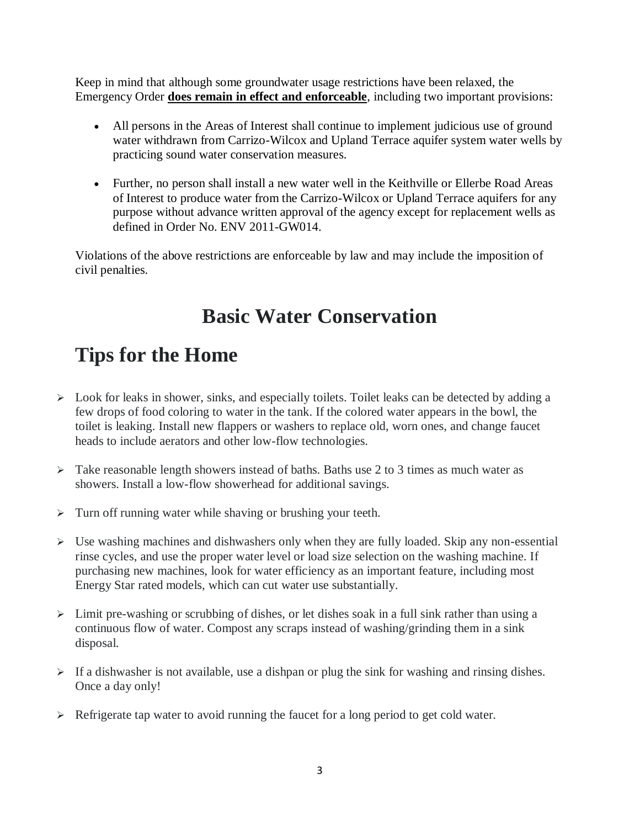Keep in mind that although some groundwater usage restrictions have been relaxed, the Emergency Order **does remain in effect and enforceable**, including two important provisions:

- All persons in the Areas of Interest shall continue to implement judicious use of ground water withdrawn from Carrizo-Wilcox and Upland Terrace aquifer system water wells by practicing sound water conservation measures.
- Further, no person shall install a new water well in the Keithville or Ellerbe Road Areas of Interest to produce water from the Carrizo-Wilcox or Upland Terrace aquifers for any purpose without advance written approval of the agency except for replacement wells as defined in Order No. ENV 2011-GW014.

Violations of the above restrictions are enforceable by law and may include the imposition of civil penalties.

## **Basic Water Conservation**

## **Tips for the Home**

- $\triangleright$  Look for leaks in shower, sinks, and especially toilets. Toilet leaks can be detected by adding a few drops of food coloring to water in the tank. If the colored water appears in the bowl, the toilet is leaking. Install new flappers or washers to replace old, worn ones, and change faucet heads to include aerators and other low-flow technologies.
- $\triangleright$  Take reasonable length showers instead of baths. Baths use 2 to 3 times as much water as showers. Install a low-flow showerhead for additional savings.
- $\triangleright$  Turn off running water while shaving or brushing your teeth.
- $\triangleright$  Use washing machines and dishwashers only when they are fully loaded. Skip any non-essential rinse cycles, and use the proper water level or load size selection on the washing machine. If purchasing new machines, look for water efficiency as an important feature, including most Energy Star rated models, which can cut water use substantially.
- $\triangleright$  Limit pre-washing or scrubbing of dishes, or let dishes soak in a full sink rather than using a continuous flow of water. Compost any scraps instead of washing/grinding them in a sink disposal.
- $\triangleright$  If a dishwasher is not available, use a dishpan or plug the sink for washing and rinsing dishes. Once a day only!
- $\triangleright$  Refrigerate tap water to avoid running the faucet for a long period to get cold water.